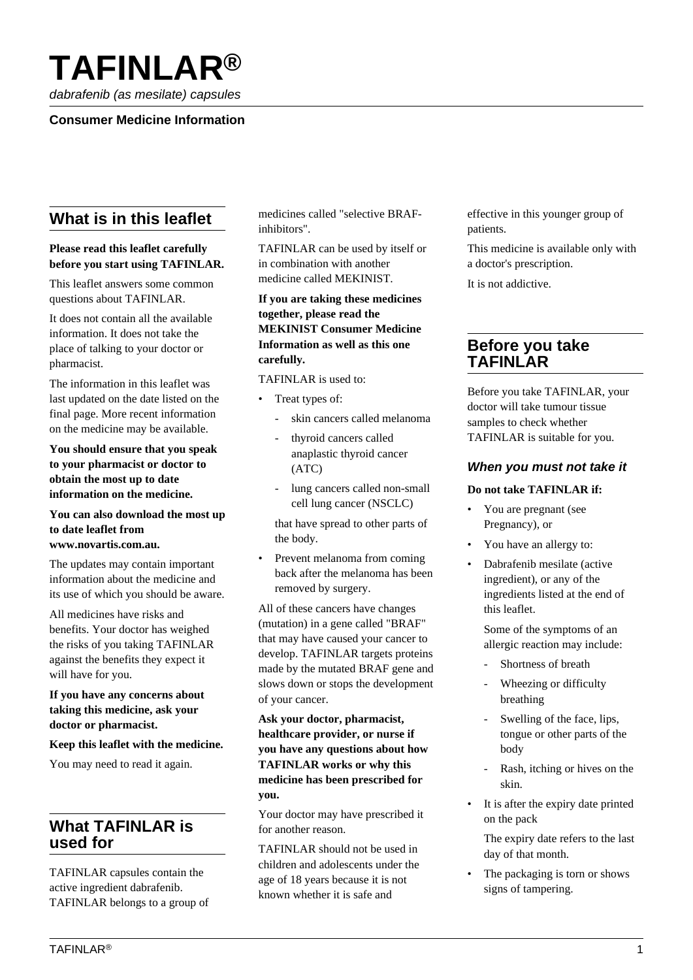# **TAFINLAR®**

dabrafenib (as mesilate) capsules

# **Consumer Medicine Information**

# **What is in this leaflet**

## **Please read this leaflet carefully before you start using TAFINLAR.**

This leaflet answers some common questions about TAFINLAR.

It does not contain all the available information. It does not take the place of talking to your doctor or pharmacist.

The information in this leaflet was last updated on the date listed on the final page. More recent information on the medicine may be available.

**You should ensure that you speak to your pharmacist or doctor to obtain the most up to date information on the medicine.**

#### **You can also download the most up to date leaflet from www.novartis.com.au.**

The updates may contain important information about the medicine and its use of which you should be aware.

All medicines have risks and benefits. Your doctor has weighed the risks of you taking TAFINLAR against the benefits they expect it will have for you.

#### **If you have any concerns about taking this medicine, ask your doctor or pharmacist.**

## **Keep this leaflet with the medicine.**

You may need to read it again.

# **What TAFINLAR is used for**

TAFINLAR capsules contain the active ingredient dabrafenib. TAFINLAR belongs to a group of medicines called "selective BRAFinhibitors".

TAFINLAR can be used by itself or in combination with another medicine called MEKINIST.

### **If you are taking these medicines together, please read the MEKINIST Consumer Medicine Information as well as this one carefully.**

TAFINLAR is used to:

- Treat types of:
	- skin cancers called melanoma
	- thyroid cancers called anaplastic thyroid cancer (ATC)
	- lung cancers called non-small cell lung cancer (NSCLC)

 that have spread to other parts of the body.

Prevent melanoma from coming back after the melanoma has been removed by surgery.

All of these cancers have changes (mutation) in a gene called "BRAF" that may have caused your cancer to develop. TAFINLAR targets proteins made by the mutated BRAF gene and slows down or stops the development of your cancer.

## **Ask your doctor, pharmacist, healthcare provider, or nurse if you have any questions about how TAFINLAR works or why this medicine has been prescribed for you.**

Your doctor may have prescribed it for another reason.

TAFINLAR should not be used in children and adolescents under the age of 18 years because it is not known whether it is safe and

effective in this younger group of patients.

This medicine is available only with a doctor's prescription.

It is not addictive.

# **Before you take TAFINLAR**

Before you take TAFINLAR, your doctor will take tumour tissue samples to check whether TAFINLAR is suitable for you.

## **When you must not take it**

#### **Do not take TAFINLAR if:**

- You are pregnant (see Pregnancy), or
- You have an allergy to:
- Dabrafenib mesilate (active ingredient), or any of the ingredients listed at the end of this leaflet.

 Some of the symptoms of an allergic reaction may include:

- Shortness of breath
- Wheezing or difficulty breathing
- Swelling of the face, lips, tongue or other parts of the body
- Rash, itching or hives on the skin.
- It is after the expiry date printed on the pack

 The expiry date refers to the last day of that month.

The packaging is torn or shows signs of tampering.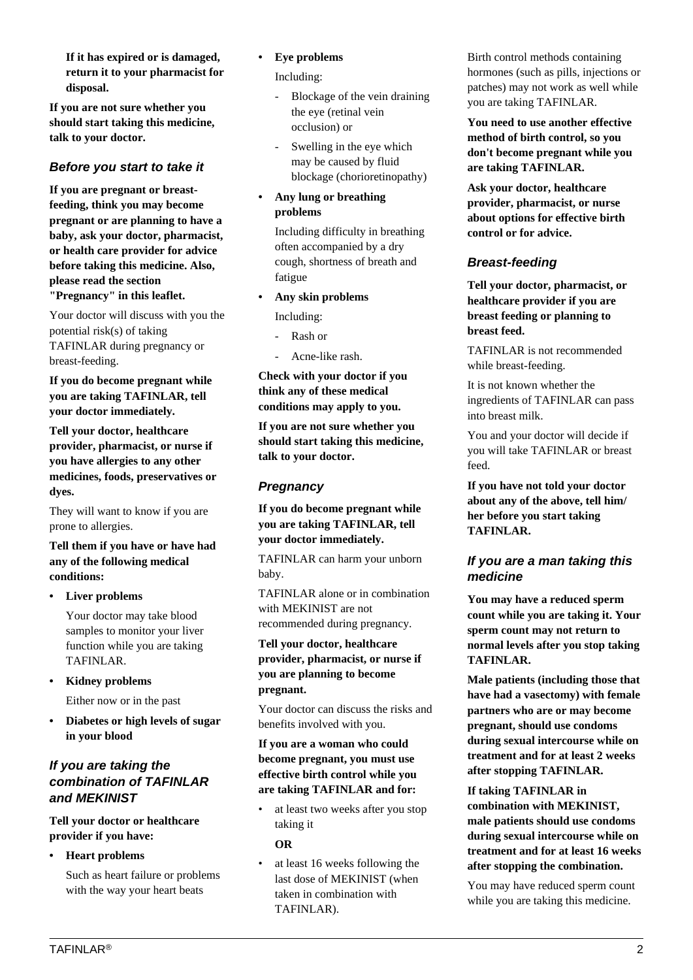**If it has expired or is damaged, return it to your pharmacist for disposal.**

**If you are not sure whether you should start taking this medicine, talk to your doctor.**

# **Before you start to take it**

**If you are pregnant or breastfeeding, think you may become pregnant or are planning to have a baby, ask your doctor, pharmacist, or health care provider for advice before taking this medicine. Also, please read the section "Pregnancy" in this leaflet.**

Your doctor will discuss with you the potential risk(s) of taking TAFINLAR during pregnancy or breast-feeding.

**If you do become pregnant while you are taking TAFINLAR, tell your doctor immediately.**

**Tell your doctor, healthcare provider, pharmacist, or nurse if you have allergies to any other medicines, foods, preservatives or dyes.**

They will want to know if you are prone to allergies.

**Tell them if you have or have had any of the following medical conditions:**

**• Liver problems**

 Your doctor may take blood samples to monitor your liver function while you are taking TAFINLAR.

- **Kidney problems** Either now or in the past
- **Diabetes or high levels of sugar in your blood**

# **If you are taking the combination of TAFINLAR and MEKINIST**

**Tell your doctor or healthcare provider if you have:**

**• Heart problems**

 Such as heart failure or problems with the way your heart beats

**• Eye problems**

Including:

- Blockage of the vein draining the eye (retinal vein occlusion) or
- Swelling in the eye which may be caused by fluid blockage (chorioretinopathy)
- **Any lung or breathing problems**

 Including difficulty in breathing often accompanied by a dry cough, shortness of breath and fatigue

**• Any skin problems**

Including:

- Rash or
- Acne-like rash.

**Check with your doctor if you think any of these medical conditions may apply to you.**

**If you are not sure whether you should start taking this medicine, talk to your doctor.**

# **Pregnancy**

**If you do become pregnant while you are taking TAFINLAR, tell your doctor immediately.**

TAFINLAR can harm your unborn baby.

TAFINLAR alone or in combination with MEKINIST are not recommended during pregnancy.

**Tell your doctor, healthcare provider, pharmacist, or nurse if you are planning to become pregnant.**

Your doctor can discuss the risks and benefits involved with you.

# **If you are a woman who could become pregnant, you must use effective birth control while you are taking TAFINLAR and for:**

• at least two weeks after you stop taking it

 **OR**

at least 16 weeks following the last dose of MEKINIST (when taken in combination with TAFINLAR).

Birth control methods containing hormones (such as pills, injections or patches) may not work as well while you are taking TAFINLAR.

**You need to use another effective method of birth control, so you don't become pregnant while you are taking TAFINLAR.**

**Ask your doctor, healthcare provider, pharmacist, or nurse about options for effective birth control or for advice.**

# **Breast-feeding**

**Tell your doctor, pharmacist, or healthcare provider if you are breast feeding or planning to breast feed.**

TAFINLAR is not recommended while breast-feeding.

It is not known whether the ingredients of TAFINLAR can pass into breast milk.

You and your doctor will decide if you will take TAFINLAR or breast feed.

**If you have not told your doctor about any of the above, tell him/ her before you start taking TAFINLAR.**

# **If you are a man taking this medicine**

**You may have a reduced sperm count while you are taking it. Your sperm count may not return to normal levels after you stop taking TAFINLAR.**

**Male patients (including those that have had a vasectomy) with female partners who are or may become pregnant, should use condoms during sexual intercourse while on treatment and for at least 2 weeks after stopping TAFINLAR.**

**If taking TAFINLAR in combination with MEKINIST, male patients should use condoms during sexual intercourse while on treatment and for at least 16 weeks after stopping the combination.**

You may have reduced sperm count while you are taking this medicine.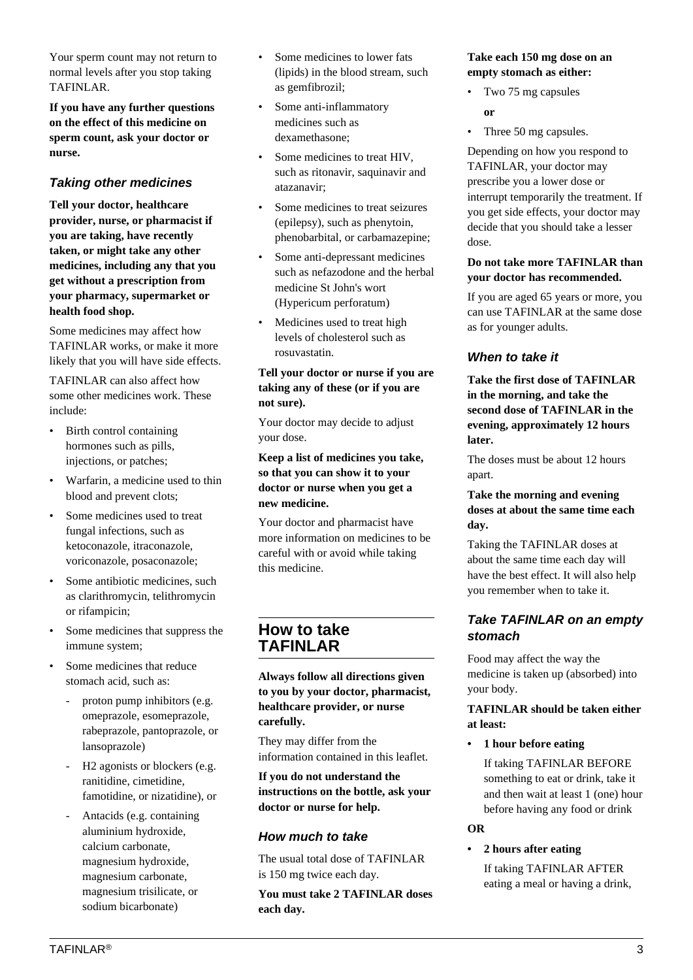Your sperm count may not return to normal levels after you stop taking TAFINLAR.

**If you have any further questions on the effect of this medicine on sperm count, ask your doctor or nurse.**

# **Taking other medicines**

**Tell your doctor, healthcare provider, nurse, or pharmacist if you are taking, have recently taken, or might take any other medicines, including any that you get without a prescription from your pharmacy, supermarket or health food shop.**

Some medicines may affect how TAFINLAR works, or make it more likely that you will have side effects.

TAFINLAR can also affect how some other medicines work. These include:

- Birth control containing hormones such as pills, injections, or patches;
- Warfarin, a medicine used to thin blood and prevent clots;
- Some medicines used to treat fungal infections, such as ketoconazole, itraconazole, voriconazole, posaconazole;
- Some antibiotic medicines, such as clarithromycin, telithromycin or rifampicin;
- Some medicines that suppress the immune system;
- Some medicines that reduce stomach acid, such as:
	- proton pump inhibitors (e.g. omeprazole, esomeprazole, rabeprazole, pantoprazole, or lansoprazole)
	- H<sub>2</sub> agonists or blockers (e.g. ranitidine, cimetidine, famotidine, or nizatidine), or
	- Antacids (e.g. containing aluminium hydroxide, calcium carbonate, magnesium hydroxide, magnesium carbonate, magnesium trisilicate, or sodium bicarbonate)
- Some medicines to lower fats (lipids) in the blood stream, such as gemfibrozil;
- Some anti-inflammatory medicines such as dexamethasone;
- Some medicines to treat HIV, such as ritonavir, saquinavir and atazanavir;
- Some medicines to treat seizures (epilepsy), such as phenytoin, phenobarbital, or carbamazepine;
- Some anti-depressant medicines such as nefazodone and the herbal medicine St John's wort (Hypericum perforatum)
- Medicines used to treat high levels of cholesterol such as rosuvastatin.

#### **Tell your doctor or nurse if you are taking any of these (or if you are not sure).**

Your doctor may decide to adjust your dose.

**Keep a list of medicines you take, so that you can show it to your doctor or nurse when you get a new medicine.**

Your doctor and pharmacist have more information on medicines to be careful with or avoid while taking this medicine.

# **How to take TAFINLAR**

**Always follow all directions given to you by your doctor, pharmacist, healthcare provider, or nurse carefully.**

They may differ from the information contained in this leaflet.

**If you do not understand the instructions on the bottle, ask your doctor or nurse for help.**

# **How much to take**

The usual total dose of TAFINLAR is 150 mg twice each day.

**You must take 2 TAFINLAR doses each day.**

#### **Take each 150 mg dose on an empty stomach as either:**

- Two 75 mg capsules
	- **or**
- Three 50 mg capsules.

Depending on how you respond to TAFINLAR, your doctor may prescribe you a lower dose or interrupt temporarily the treatment. If you get side effects, your doctor may decide that you should take a lesser dose.

#### **Do not take more TAFINLAR than your doctor has recommended.**

If you are aged 65 years or more, you can use TAFINLAR at the same dose as for younger adults.

# **When to take it**

**Take the first dose of TAFINLAR in the morning, and take the second dose of TAFINLAR in the evening, approximately 12 hours later.**

The doses must be about 12 hours apart.

#### **Take the morning and evening doses at about the same time each day.**

Taking the TAFINLAR doses at about the same time each day will have the best effect. It will also help you remember when to take it.

# **Take TAFINLAR on an empty stomach**

Food may affect the way the medicine is taken up (absorbed) into your body.

## **TAFINLAR should be taken either at least:**

**• 1 hour before eating**

 If taking TAFINLAR BEFORE something to eat or drink, take it and then wait at least 1 (one) hour before having any food or drink

#### **OR**

**• 2 hours after eating**

 If taking TAFINLAR AFTER eating a meal or having a drink,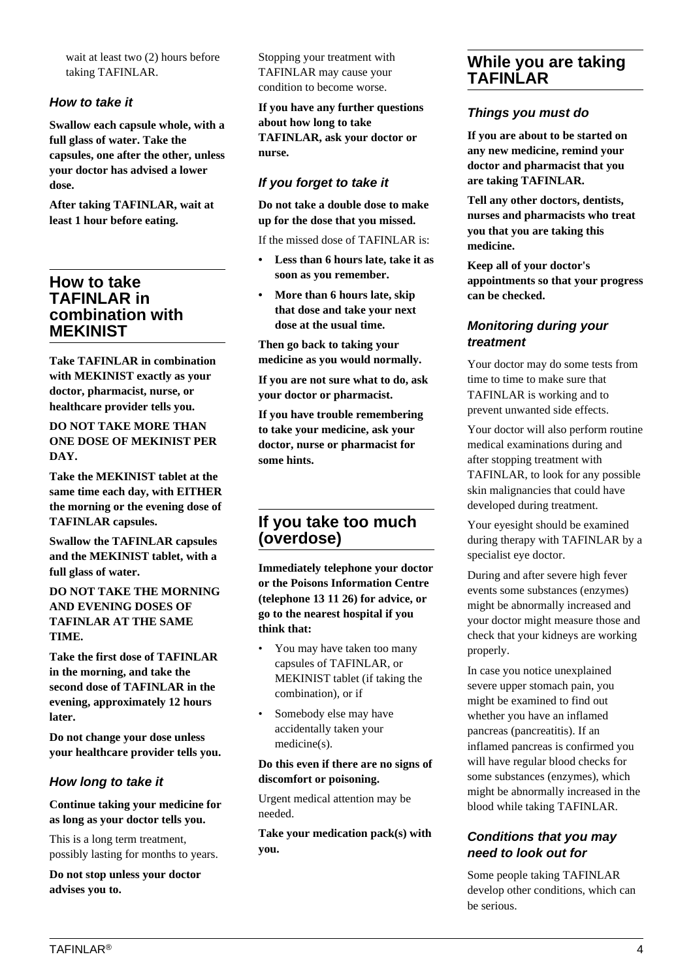wait at least two (2) hours before taking TAFINLAR.

### **How to take it**

**Swallow each capsule whole, with a full glass of water. Take the capsules, one after the other, unless your doctor has advised a lower dose.**

**After taking TAFINLAR, wait at least 1 hour before eating.**

# **How to take TAFINLAR in combination with MEKINIST**

**Take TAFINLAR in combination with MEKINIST exactly as your doctor, pharmacist, nurse, or healthcare provider tells you.**

**DO NOT TAKE MORE THAN ONE DOSE OF MEKINIST PER DAY.**

**Take the MEKINIST tablet at the same time each day, with EITHER the morning or the evening dose of TAFINLAR capsules.**

**Swallow the TAFINLAR capsules and the MEKINIST tablet, with a full glass of water.**

**DO NOT TAKE THE MORNING AND EVENING DOSES OF TAFINLAR AT THE SAME TIME.**

**Take the first dose of TAFINLAR in the morning, and take the second dose of TAFINLAR in the evening, approximately 12 hours later.**

**Do not change your dose unless your healthcare provider tells you.**

# **How long to take it**

**Continue taking your medicine for as long as your doctor tells you.**

This is a long term treatment, possibly lasting for months to years.

**Do not stop unless your doctor advises you to.**

Stopping your treatment with TAFINLAR may cause your condition to become worse.

**If you have any further questions about how long to take TAFINLAR, ask your doctor or nurse.**

# **If you forget to take it**

**Do not take a double dose to make up for the dose that you missed.**

If the missed dose of TAFINLAR is:

- **Less than 6 hours late, take it as soon as you remember.**
- **More than 6 hours late, skip that dose and take your next dose at the usual time.**

**Then go back to taking your medicine as you would normally.**

**If you are not sure what to do, ask your doctor or pharmacist.**

**If you have trouble remembering to take your medicine, ask your doctor, nurse or pharmacist for some hints.**

# **If you take too much (overdose)**

**Immediately telephone your doctor or the Poisons Information Centre (telephone 13 11 26) for advice, or go to the nearest hospital if you think that:**

- You may have taken too many capsules of TAFINLAR, or MEKINIST tablet (if taking the combination), or if
- Somebody else may have accidentally taken your medicine(s).

#### **Do this even if there are no signs of discomfort or poisoning.**

Urgent medical attention may be needed.

**Take your medication pack(s) with you.**

# **While you are taking TAFINLAR**

# **Things you must do**

**If you are about to be started on any new medicine, remind your doctor and pharmacist that you are taking TAFINLAR.**

**Tell any other doctors, dentists, nurses and pharmacists who treat you that you are taking this medicine.**

**Keep all of your doctor's appointments so that your progress can be checked.**

# **Monitoring during your treatment**

Your doctor may do some tests from time to time to make sure that TAFINLAR is working and to prevent unwanted side effects.

Your doctor will also perform routine medical examinations during and after stopping treatment with TAFINLAR, to look for any possible skin malignancies that could have developed during treatment.

Your eyesight should be examined during therapy with TAFINLAR by a specialist eye doctor.

During and after severe high fever events some substances (enzymes) might be abnormally increased and your doctor might measure those and check that your kidneys are working properly.

In case you notice unexplained severe upper stomach pain, you might be examined to find out whether you have an inflamed pancreas (pancreatitis). If an inflamed pancreas is confirmed you will have regular blood checks for some substances (enzymes), which might be abnormally increased in the blood while taking TAFINLAR.

# **Conditions that you may need to look out for**

Some people taking TAFINLAR develop other conditions, which can be serious.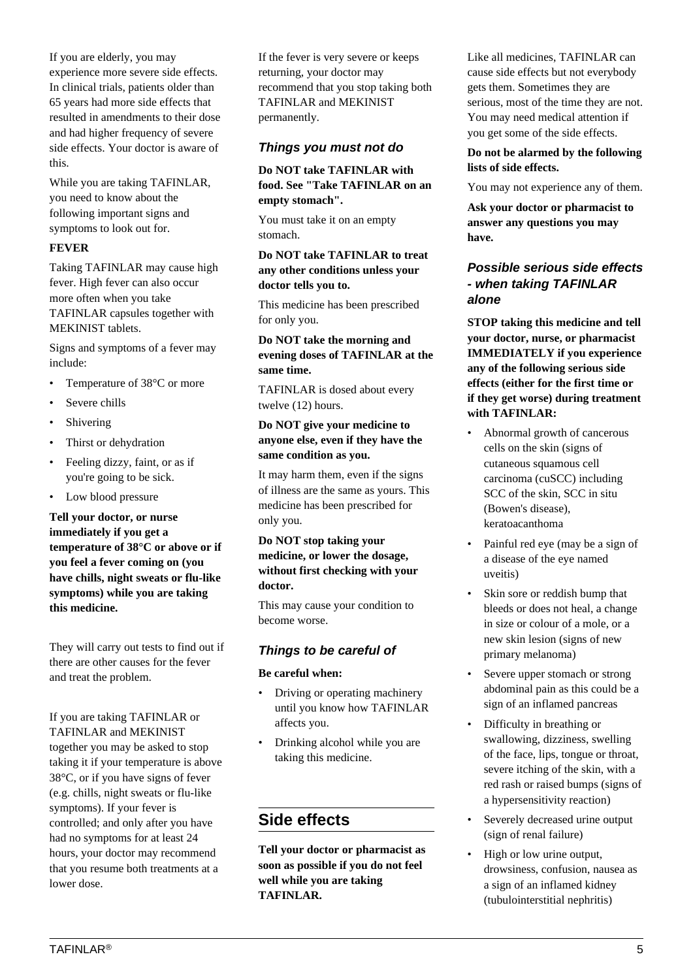If you are elderly, you may experience more severe side effects. In clinical trials, patients older than 65 years had more side effects that resulted in amendments to their dose and had higher frequency of severe side effects. Your doctor is aware of this.

While you are taking TAFINLAR, you need to know about the following important signs and symptoms to look out for.

### **FEVER**

Taking TAFINLAR may cause high fever. High fever can also occur more often when you take TAFINLAR capsules together with MEKINIST tablets.

Signs and symptoms of a fever may include:

- Temperature of 38°C or more
- Severe chills
- Shivering
- Thirst or dehydration
- Feeling dizzy, faint, or as if you're going to be sick.
- Low blood pressure

**Tell your doctor, or nurse immediately if you get a temperature of 38°C or above or if you feel a fever coming on (you have chills, night sweats or flu-like symptoms) while you are taking this medicine.**

They will carry out tests to find out if there are other causes for the fever and treat the problem.

If you are taking TAFINLAR or TAFINLAR and MEKINIST together you may be asked to stop taking it if your temperature is above 38°C, or if you have signs of fever (e.g. chills, night sweats or flu-like symptoms). If your fever is controlled; and only after you have had no symptoms for at least 24 hours, your doctor may recommend that you resume both treatments at a lower dose.

If the fever is very severe or keeps returning, your doctor may recommend that you stop taking both TAFINLAR and MEKINIST permanently.

# **Things you must not do**

#### **Do NOT take TAFINLAR with food. See "Take TAFINLAR on an empty stomach".**

You must take it on an empty stomach.

#### **Do NOT take TAFINLAR to treat any other conditions unless your doctor tells you to.**

This medicine has been prescribed for only you.

**Do NOT take the morning and evening doses of TAFINLAR at the same time.**

TAFINLAR is dosed about every twelve (12) hours.

## **Do NOT give your medicine to anyone else, even if they have the same condition as you.**

It may harm them, even if the signs of illness are the same as yours. This medicine has been prescribed for only you.

**Do NOT stop taking your medicine, or lower the dosage, without first checking with your doctor.**

This may cause your condition to become worse.

# **Things to be careful of**

#### **Be careful when:**

- Driving or operating machinery until you know how TAFINLAR affects you.
- Drinking alcohol while you are taking this medicine.

# **Side effects**

**Tell your doctor or pharmacist as soon as possible if you do not feel well while you are taking TAFINLAR.**

Like all medicines, TAFINLAR can cause side effects but not everybody gets them. Sometimes they are serious, most of the time they are not. You may need medical attention if you get some of the side effects.

### **Do not be alarmed by the following lists of side effects.**

You may not experience any of them.

**Ask your doctor or pharmacist to answer any questions you may have.**

# **Possible serious side effects - when taking TAFINLAR alone**

**STOP taking this medicine and tell your doctor, nurse, or pharmacist IMMEDIATELY if you experience any of the following serious side effects (either for the first time or if they get worse) during treatment with TAFINLAR:**

- Abnormal growth of cancerous cells on the skin (signs of cutaneous squamous cell carcinoma (cuSCC) including SCC of the skin, SCC in situ (Bowen's disease), keratoacanthoma
- Painful red eye (may be a sign of a disease of the eye named uveitis)
- Skin sore or reddish bump that bleeds or does not heal, a change in size or colour of a mole, or a new skin lesion (signs of new primary melanoma)
- Severe upper stomach or strong abdominal pain as this could be a sign of an inflamed pancreas
- Difficulty in breathing or swallowing, dizziness, swelling of the face, lips, tongue or throat, severe itching of the skin, with a red rash or raised bumps (signs of a hypersensitivity reaction)
- Severely decreased urine output (sign of renal failure)
- High or low urine output, drowsiness, confusion, nausea as a sign of an inflamed kidney (tubulointerstitial nephritis)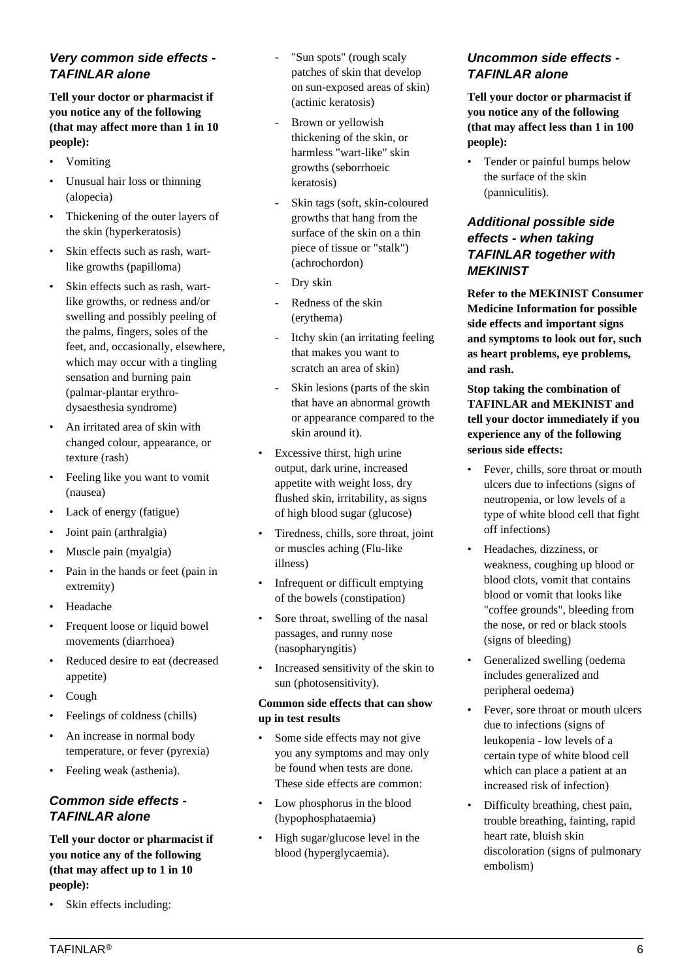# **Very common side effects - TAFINLAR alone**

**Tell your doctor or pharmacist if you notice any of the following (that may affect more than 1 in 10 people):**

- Vomiting
- Unusual hair loss or thinning (alopecia)
- Thickening of the outer layers of the skin (hyperkeratosis)
- Skin effects such as rash, wartlike growths (papilloma)
- Skin effects such as rash, wartlike growths, or redness and/or swelling and possibly peeling of the palms, fingers, soles of the feet, and, occasionally, elsewhere, which may occur with a tingling sensation and burning pain (palmar-plantar erythrodysaesthesia syndrome)
- An irritated area of skin with changed colour, appearance, or texture (rash)
- Feeling like you want to vomit (nausea)
- Lack of energy (fatigue)
- Joint pain (arthralgia)
- Muscle pain (myalgia)
- Pain in the hands or feet (pain in extremity)
- Headache
- Frequent loose or liquid bowel movements (diarrhoea)
- Reduced desire to eat (decreased appetite)
- Cough
- Feelings of coldness (chills)
- An increase in normal body temperature, or fever (pyrexia)
- Feeling weak (asthenia).

# **Common side effects - TAFINLAR alone**

**Tell your doctor or pharmacist if you notice any of the following (that may affect up to 1 in 10 people):**

• Skin effects including:

- "Sun spots" (rough scaly patches of skin that develop on sun-exposed areas of skin) (actinic keratosis)
- Brown or yellowish thickening of the skin, or harmless "wart-like" skin growths (seborrhoeic keratosis)
- Skin tags (soft, skin-coloured growths that hang from the surface of the skin on a thin piece of tissue or "stalk") (achrochordon)
- Dry skin
- Redness of the skin (erythema)
- Itchy skin (an irritating feeling that makes you want to scratch an area of skin)
- Skin lesions (parts of the skin that have an abnormal growth or appearance compared to the skin around it).
- Excessive thirst, high urine output, dark urine, increased appetite with weight loss, dry flushed skin, irritability, as signs of high blood sugar (glucose)
- Tiredness, chills, sore throat, joint or muscles aching (Flu-like illness)
- Infrequent or difficult emptying of the bowels (constipation)
- Sore throat, swelling of the nasal passages, and runny nose (nasopharyngitis)
- Increased sensitivity of the skin to sun (photosensitivity).

## **Common side effects that can show up in test results**

- Some side effects may not give you any symptoms and may only be found when tests are done. These side effects are common:
- Low phosphorus in the blood (hypophosphataemia)
- High sugar/glucose level in the blood (hyperglycaemia).

# **Uncommon side effects - TAFINLAR alone**

**Tell your doctor or pharmacist if you notice any of the following (that may affect less than 1 in 100 people):**

• Tender or painful bumps below the surface of the skin (panniculitis).

# **Additional possible side effects - when taking TAFINLAR together with MEKINIST**

**Refer to the MEKINIST Consumer Medicine Information for possible side effects and important signs and symptoms to look out for, such as heart problems, eye problems, and rash.**

# **Stop taking the combination of TAFINLAR and MEKINIST and tell your doctor immediately if you experience any of the following serious side effects:**

- Fever, chills, sore throat or mouth ulcers due to infections (signs of neutropenia, or low levels of a type of white blood cell that fight off infections)
- Headaches, dizziness, or weakness, coughing up blood or blood clots, vomit that contains blood or vomit that looks like "coffee grounds", bleeding from the nose, or red or black stools (signs of bleeding)
- Generalized swelling (oedema includes generalized and peripheral oedema)
- Fever, sore throat or mouth ulcers due to infections (signs of leukopenia - low levels of a certain type of white blood cell which can place a patient at an increased risk of infection)
- Difficulty breathing, chest pain, trouble breathing, fainting, rapid heart rate, bluish skin discoloration (signs of pulmonary embolism)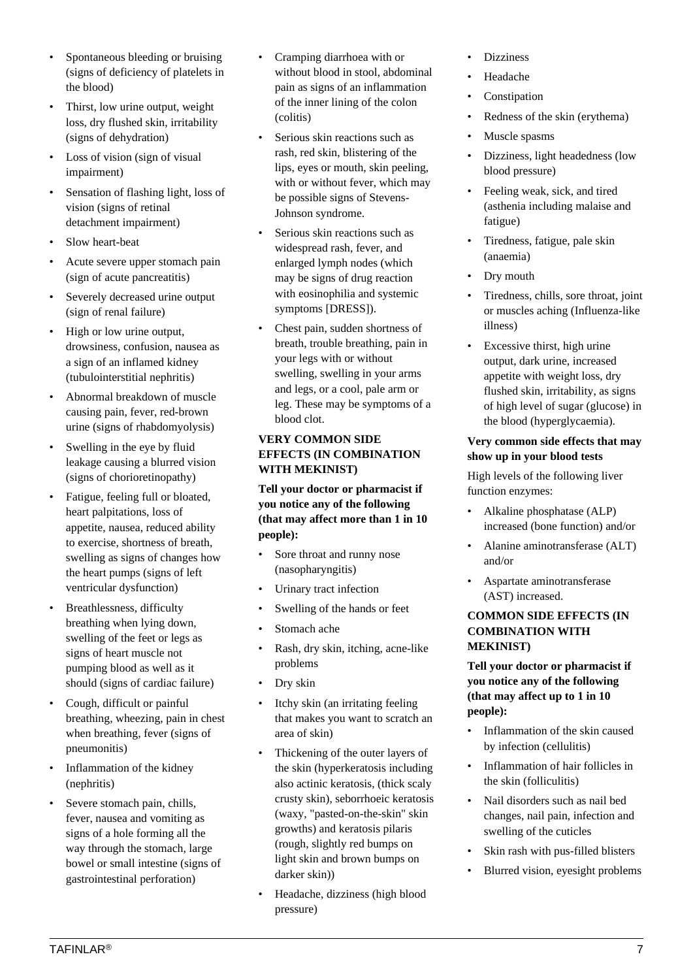- Spontaneous bleeding or bruising (signs of deficiency of platelets in the blood)
- Thirst, low urine output, weight loss, dry flushed skin, irritability (signs of dehydration)
- Loss of vision (sign of visual impairment)
- Sensation of flashing light, loss of vision (signs of retinal detachment impairment)
- Slow heart-beat
- Acute severe upper stomach pain (sign of acute pancreatitis)
- Severely decreased urine output (sign of renal failure)
- High or low urine output, drowsiness, confusion, nausea as a sign of an inflamed kidney (tubulointerstitial nephritis)
- Abnormal breakdown of muscle causing pain, fever, red-brown urine (signs of rhabdomyolysis)
- Swelling in the eye by fluid leakage causing a blurred vision (signs of chorioretinopathy)
- Fatigue, feeling full or bloated, heart palpitations, loss of appetite, nausea, reduced ability to exercise, shortness of breath, swelling as signs of changes how the heart pumps (signs of left ventricular dysfunction)
- Breathlessness, difficulty breathing when lying down, swelling of the feet or legs as signs of heart muscle not pumping blood as well as it should (signs of cardiac failure)
- Cough, difficult or painful breathing, wheezing, pain in chest when breathing, fever (signs of pneumonitis)
- Inflammation of the kidney (nephritis)
- Severe stomach pain, chills, fever, nausea and vomiting as signs of a hole forming all the way through the stomach, large bowel or small intestine (signs of gastrointestinal perforation)
- Cramping diarrhoea with or without blood in stool, abdominal pain as signs of an inflammation of the inner lining of the colon (colitis)
- Serious skin reactions such as rash, red skin, blistering of the lips, eyes or mouth, skin peeling, with or without fever, which may be possible signs of Stevens-Johnson syndrome.
- Serious skin reactions such as widespread rash, fever, and enlarged lymph nodes (which may be signs of drug reaction with eosinophilia and systemic symptoms [DRESS]).
- Chest pain, sudden shortness of breath, trouble breathing, pain in your legs with or without swelling, swelling in your arms and legs, or a cool, pale arm or leg. These may be symptoms of a blood clot.

# **VERY COMMON SIDE EFFECTS (IN COMBINATION WITH MEKINIST)**

**Tell your doctor or pharmacist if you notice any of the following (that may affect more than 1 in 10 people):**

- Sore throat and runny nose (nasopharyngitis)
- Urinary tract infection
- Swelling of the hands or feet
- Stomach ache
- Rash, dry skin, itching, acne-like problems
- Dry skin
- Itchy skin (an irritating feeling that makes you want to scratch an area of skin)
- Thickening of the outer layers of the skin (hyperkeratosis including also actinic keratosis, (thick scaly crusty skin), seborrhoeic keratosis (waxy, "pasted-on-the-skin" skin growths) and keratosis pilaris (rough, slightly red bumps on light skin and brown bumps on darker skin))
- Headache, dizziness (high blood pressure)
- **Dizziness**
- Headache
- Constipation
- Redness of the skin (erythema)
- Muscle spasms
- Dizziness, light headedness (low blood pressure)
- Feeling weak, sick, and tired (asthenia including malaise and fatigue)
- Tiredness, fatigue, pale skin (anaemia)
- Dry mouth
- Tiredness, chills, sore throat, joint or muscles aching (Influenza-like illness)
- Excessive thirst, high urine output, dark urine, increased appetite with weight loss, dry flushed skin, irritability, as signs of high level of sugar (glucose) in the blood (hyperglycaemia).

# **Very common side effects that may show up in your blood tests**

High levels of the following liver function enzymes:

- Alkaline phosphatase (ALP) increased (bone function) and/or
- Alanine aminotransferase (ALT) and/or
- Aspartate aminotransferase (AST) increased.

# **COMMON SIDE EFFECTS (IN COMBINATION WITH MEKINIST)**

**Tell your doctor or pharmacist if you notice any of the following (that may affect up to 1 in 10 people):**

- Inflammation of the skin caused by infection (cellulitis)
- Inflammation of hair follicles in the skin (folliculitis)
- Nail disorders such as nail bed changes, nail pain, infection and swelling of the cuticles
- Skin rash with pus-filled blisters
- Blurred vision, eyesight problems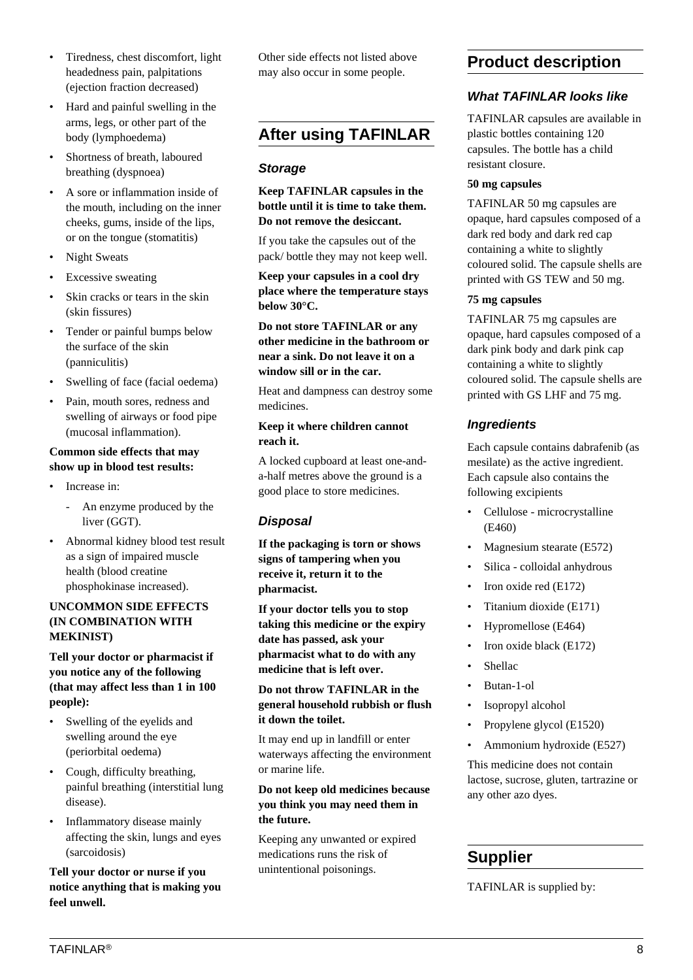- Tiredness, chest discomfort, light headedness pain, palpitations (ejection fraction decreased)
- Hard and painful swelling in the arms, legs, or other part of the body (lymphoedema)
- Shortness of breath, laboured breathing (dyspnoea)
- A sore or inflammation inside of the mouth, including on the inner cheeks, gums, inside of the lips, or on the tongue (stomatitis)
- Night Sweats
- Excessive sweating
- Skin cracks or tears in the skin (skin fissures)
- Tender or painful bumps below the surface of the skin (panniculitis)
- Swelling of face (facial oedema)
- Pain, mouth sores, redness and swelling of airways or food pipe (mucosal inflammation).

#### **Common side effects that may show up in blood test results:**

- Increase in:
	- An enzyme produced by the liver (GGT).
- Abnormal kidney blood test result as a sign of impaired muscle health (blood creatine phosphokinase increased).

#### **UNCOMMON SIDE EFFECTS (IN COMBINATION WITH MEKINIST)**

**Tell your doctor or pharmacist if you notice any of the following (that may affect less than 1 in 100 people):**

- Swelling of the eyelids and swelling around the eye (periorbital oedema)
- Cough, difficulty breathing, painful breathing (interstitial lung disease).
- Inflammatory disease mainly affecting the skin, lungs and eyes (sarcoidosis)

# **Tell your doctor or nurse if you notice anything that is making you feel unwell.**

Other side effects not listed above may also occur in some people.

# **After using TAFINLAR**

# **Storage**

## **Keep TAFINLAR capsules in the bottle until it is time to take them. Do not remove the desiccant.**

If you take the capsules out of the pack/ bottle they may not keep well.

**Keep your capsules in a cool dry place where the temperature stays below 30°C.**

**Do not store TAFINLAR or any other medicine in the bathroom or near a sink. Do not leave it on a window sill or in the car.**

Heat and dampness can destroy some medicines.

#### **Keep it where children cannot reach it.**

A locked cupboard at least one-anda-half metres above the ground is a good place to store medicines.

# **Disposal**

**If the packaging is torn or shows signs of tampering when you receive it, return it to the pharmacist.**

**If your doctor tells you to stop taking this medicine or the expiry date has passed, ask your pharmacist what to do with any medicine that is left over.**

# **Do not throw TAFINLAR in the general household rubbish or flush it down the toilet.**

It may end up in landfill or enter waterways affecting the environment or marine life.

# **Do not keep old medicines because you think you may need them in the future.**

Keeping any unwanted or expired medications runs the risk of unintentional poisonings.

# **Product description**

# **What TAFINLAR looks like**

TAFINLAR capsules are available in plastic bottles containing 120 capsules. The bottle has a child resistant closure.

## **50 mg capsules**

TAFINLAR 50 mg capsules are opaque, hard capsules composed of a dark red body and dark red cap containing a white to slightly coloured solid. The capsule shells are printed with GS TEW and 50 mg.

## **75 mg capsules**

TAFINLAR 75 mg capsules are opaque, hard capsules composed of a dark pink body and dark pink cap containing a white to slightly coloured solid. The capsule shells are printed with GS LHF and 75 mg.

# **Ingredients**

Each capsule contains dabrafenib (as mesilate) as the active ingredient. Each capsule also contains the following excipients

- Cellulose microcrystalline (E460)
- Magnesium stearate (E572)
- Silica colloidal anhydrous
- Iron oxide red (E172)
- Titanium dioxide (E171)
- Hypromellose (E464)
- Iron oxide black (E172)
- **Shellac**
- Butan-1-ol
- Isopropyl alcohol
- Propylene glycol (E1520)
- Ammonium hydroxide (E527)

This medicine does not contain lactose, sucrose, gluten, tartrazine or any other azo dyes.

# **Supplier**

TAFINLAR is supplied by: